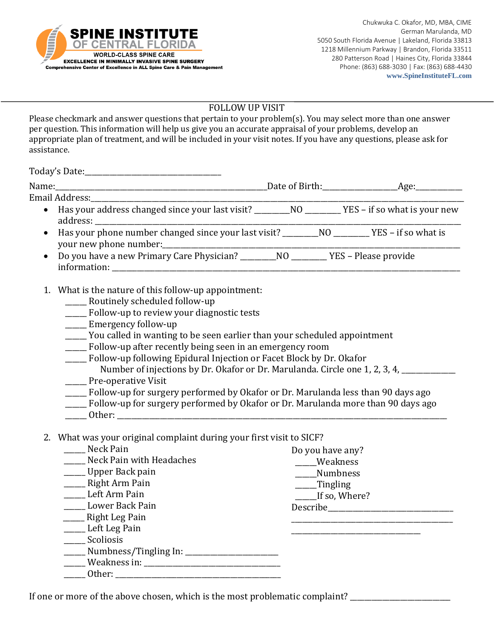

#### FOLLOW UP VISIT

Please checkmark and answer questions that pertain to your problem(s). You may select more than one answer per question. This information will help us give you an accurate appraisal of your problems, develop an appropriate plan of treatment, and will be included in your visit notes. If you have any questions, please ask for assistance.

Today's Date:\_\_\_\_\_\_\_\_\_\_\_\_\_\_\_\_\_\_\_\_\_\_\_\_\_\_\_\_\_\_\_\_\_\_\_\_\_\_

| $\bullet$ |  |  |
|-----------|--|--|

- 1. What is the nature of this follow-up appointment:
	- \_\_\_\_\_\_ Routinely scheduled follow-up
	- \_\_\_\_\_\_ Follow-up to review your diagnostic tests
	- \_\_\_\_\_\_ Emergency follow-up
	- \_\_\_\_\_\_ You called in wanting to be seen earlier than your scheduled appointment
	- \_\_\_\_\_\_ Follow-up after recently being seen in an emergency room
	- \_\_\_\_\_\_ Follow-up following Epidural Injection or Facet Block by Dr. Okafor
	- Number of injections by Dr. Okafor or Dr. Marulanda. Circle one 1, 2, 3, 4, \_\_\_\_\_\_ Pre-operative Visit
	- \_\_\_\_\_\_ Follow-up for surgery performed by Okafor or Dr. Marulanda less than 90 days ago
	- \_\_\_\_\_\_ Follow-up for surgery performed by Okafor or Dr. Marulanda more than 90 days ago
	- Other:

## 2. What was your original complaint during your first visit to SICF?

| Neck Pain                            | Do you have any?    |
|--------------------------------------|---------------------|
| Neck Pain with Headaches             | Weakness            |
| ___ Upper Back pain                  | <b>Numbness</b>     |
| Right Arm Pain                       | ___Tingling         |
| Left Arm Pain                        | ______If so, Where? |
| Lower Back Pain                      | Describe            |
| Right Leg Pain                       |                     |
| _____ Left Leg Pain                  |                     |
| Scoliosis                            |                     |
| ___ Numbness/Tingling In: __________ |                     |
| Weakness in: Veakness in:            |                     |
| Other:                               |                     |

If one or more of the above chosen, which is the most problematic complaint? \_\_\_\_\_\_\_\_\_\_\_\_\_\_\_\_\_\_\_\_\_\_\_\_\_\_\_\_\_\_\_\_\_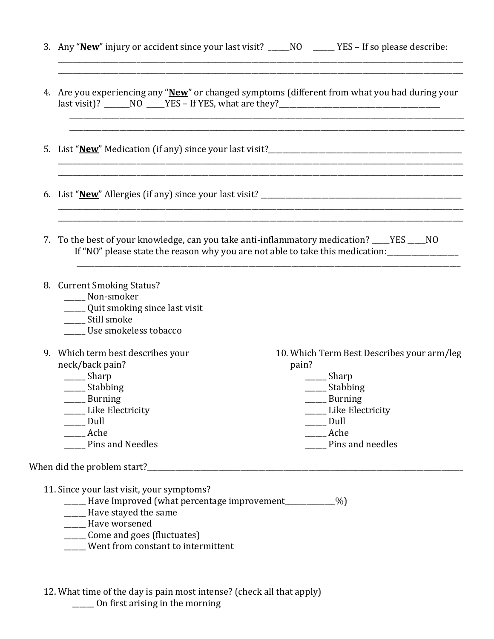| 3. Any "New" injury or accident since your last visit? _____NO ______YES – If so please describe:                                                                                                                                                                                                                                                                                                                         |
|---------------------------------------------------------------------------------------------------------------------------------------------------------------------------------------------------------------------------------------------------------------------------------------------------------------------------------------------------------------------------------------------------------------------------|
| 4. Are you experiencing any "New" or changed symptoms (different from what you had during your                                                                                                                                                                                                                                                                                                                            |
|                                                                                                                                                                                                                                                                                                                                                                                                                           |
|                                                                                                                                                                                                                                                                                                                                                                                                                           |
| 7. To the best of your knowledge, can you take anti-inflammatory medication? ____YES ____NO<br>If "NO" please state the reason why you are not able to take this medication:                                                                                                                                                                                                                                              |
| 8. Current Smoking Status?<br>Non-smoker<br>______ Quit smoking since last visit<br>Still smoke<br>Use smokeless tobacco                                                                                                                                                                                                                                                                                                  |
| 9. Which term best describes your<br>10. Which Term Best Describes your arm/leg<br>neck/back pain?<br>pain?<br>$\frac{1}{2}$ Sharp<br>_______ Sharp<br>______ Stabbing<br>______ Stabbing<br>$\frac{1}{2}$ Burning<br>$\frac{1}{2}$ Burning<br>Like Electricity<br>Like Electricity<br>$\rule{1em}{0.15mm}$ Dull<br>$\rule{1em}{0.15mm}$ Dull<br>______ Ache<br>_____ Ache<br>Pins and Needles<br><b>Pins and needles</b> |
| When did the problem start?<br>11. Since your last visit, your symptoms?                                                                                                                                                                                                                                                                                                                                                  |
| [%] Have Improved (what percentage improvement___________%)<br>_____ Have stayed the same<br>_____ Have worsened<br>_____ Come and goes (fluctuates)<br>Went from constant to intermittent                                                                                                                                                                                                                                |

12. What time of the day is pain most intense? (check all that apply) \_\_\_\_\_\_ On first arising in the morning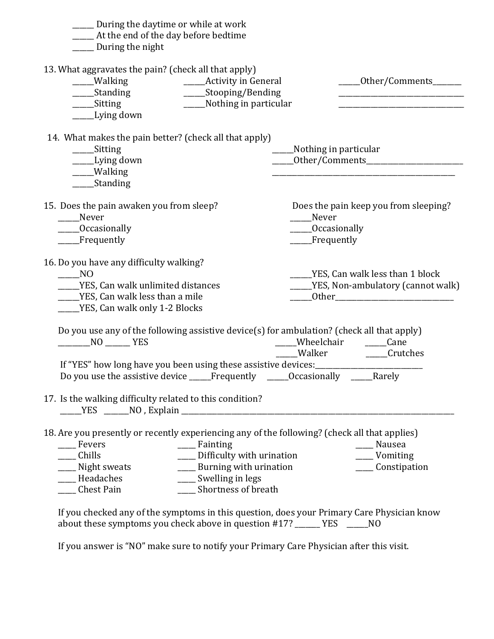| ______Activity in General<br>______0ther/Comments_______<br>____Nothing in particular                                                                                                                                                                                                  |
|----------------------------------------------------------------------------------------------------------------------------------------------------------------------------------------------------------------------------------------------------------------------------------------|
| __Nothing in particular                                                                                                                                                                                                                                                                |
| Does the pain keep you from sleeping?<br>Never<br>_____Occasionally<br>___Frequently                                                                                                                                                                                                   |
| ____YES, Can walk less than 1 block<br>_____YES, Non-ambulatory (cannot walk)                                                                                                                                                                                                          |
| Do you use any of the following assistive device(s) for ambulation? (check all that apply)<br>_____Wheelchair ______Cane<br>____Walker ______Crutches<br>If "YES" how long have you been using these assistive devices: __________________<br>Frequently _____Occasionally _____Rarely |
|                                                                                                                                                                                                                                                                                        |
| 18. Are you presently or recently experiencing any of the following? (check all that applies)<br>___ Nausea<br>____ Difficulty with urination<br>____ Vomiting<br>____ Burning with urination<br>____ Constipation                                                                     |
| If you checked any of the symptoms in this question, does your Primary Care Physician know                                                                                                                                                                                             |

about these symptoms you check above in question #17? \_\_\_\_\_\_\_ YES \_\_\_\_\_\_NO

If you answer is "NO" make sure to notify your Primary Care Physician after this visit.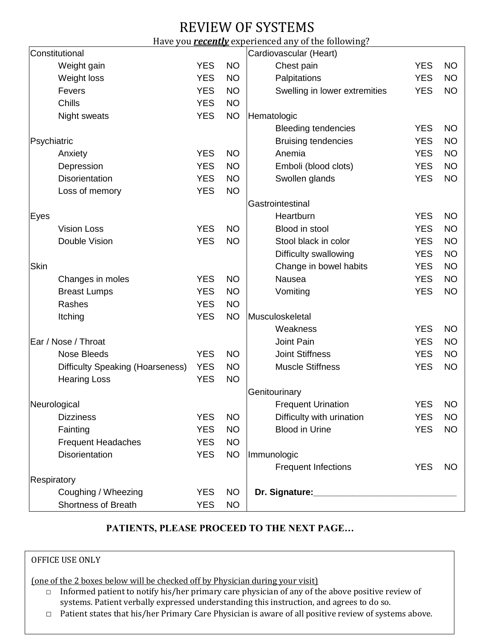# REVIEW OF SYSTEMS

#### Have you *recently* experienced any of the following?

|              | Constitutional                          |                           |                            | Cardiovascular (Heart)                      |            |           |
|--------------|-----------------------------------------|---------------------------|----------------------------|---------------------------------------------|------------|-----------|
|              | Weight gain                             | <b>YES</b>                | <b>NO</b>                  | Chest pain                                  | <b>YES</b> | <b>NO</b> |
|              | Weight loss                             | <b>YES</b>                | <b>NO</b>                  | Palpitations                                | <b>YES</b> | <b>NO</b> |
|              | Fevers                                  | <b>YES</b>                | <b>NO</b>                  | Swelling in lower extremities               | <b>YES</b> | <b>NO</b> |
|              | Chills                                  | <b>YES</b>                | <b>NO</b>                  |                                             |            |           |
|              | Night sweats                            | <b>YES</b>                | <b>NO</b>                  | Hematologic                                 |            |           |
|              |                                         |                           |                            | <b>Bleeding tendencies</b>                  | <b>YES</b> | <b>NO</b> |
| Psychiatric  |                                         |                           | <b>Bruising tendencies</b> | <b>YES</b>                                  | <b>NO</b>  |           |
|              | Anxiety                                 | <b>YES</b>                | <b>NO</b>                  | Anemia                                      | <b>YES</b> | <b>NO</b> |
|              | Depression                              | <b>YES</b>                | <b>NO</b>                  | Emboli (blood clots)                        | <b>YES</b> | <b>NO</b> |
|              | Disorientation                          | <b>YES</b>                | <b>NO</b>                  | Swollen glands                              | <b>YES</b> | <b>NO</b> |
|              | Loss of memory                          | <b>YES</b>                | <b>NO</b>                  |                                             |            |           |
|              |                                         |                           |                            | Gastrointestinal                            |            |           |
| Eyes         |                                         |                           |                            | Heartburn                                   | <b>YES</b> | <b>NO</b> |
|              | <b>Vision Loss</b>                      | <b>YES</b>                | <b>NO</b>                  | Blood in stool                              | <b>YES</b> | <b>NO</b> |
|              | Double Vision                           | <b>YES</b>                | <b>NO</b>                  | Stool black in color                        | <b>YES</b> | <b>NO</b> |
|              |                                         |                           |                            | Difficulty swallowing                       | <b>YES</b> | <b>NO</b> |
| Skin         |                                         |                           |                            | Change in bowel habits                      | <b>YES</b> | <b>NO</b> |
|              | Changes in moles                        | <b>YES</b>                | <b>NO</b>                  | Nausea                                      | <b>YES</b> | <b>NO</b> |
|              | <b>Breast Lumps</b>                     | <b>YES</b>                | <b>NO</b>                  | Vomiting                                    | <b>YES</b> | <b>NO</b> |
|              | Rashes                                  | <b>YES</b>                | <b>NO</b>                  |                                             |            |           |
|              | Itching                                 | <b>YES</b>                | <b>NO</b>                  | Musculoskeletal                             |            |           |
|              |                                         |                           |                            | Weakness                                    | <b>YES</b> | <b>NO</b> |
|              | Ear / Nose / Throat                     |                           |                            | Joint Pain                                  | <b>YES</b> | <b>NO</b> |
|              | <b>Nose Bleeds</b>                      | <b>YES</b>                | <b>NO</b>                  | <b>Joint Stiffness</b>                      | <b>YES</b> | <b>NO</b> |
|              | <b>Difficulty Speaking (Hoarseness)</b> | <b>YES</b>                | <b>NO</b>                  | <b>Muscle Stiffness</b>                     | <b>YES</b> | <b>NO</b> |
|              | <b>Hearing Loss</b>                     | <b>YES</b>                | <b>NO</b>                  |                                             |            |           |
|              |                                         |                           |                            | Genitourinary                               |            |           |
| Neurological |                                         | <b>Frequent Urination</b> | <b>YES</b>                 | <b>NO</b>                                   |            |           |
|              | <b>Dizziness</b>                        | <b>YES</b>                | <b>NO</b>                  | Difficulty with urination                   | <b>YES</b> | <b>NO</b> |
|              | Fainting                                | <b>YES</b>                | <b>NO</b>                  | <b>Blood in Urine</b>                       | <b>YES</b> | <b>NO</b> |
|              | <b>Frequent Headaches</b>               | <b>YES</b>                | <b>NO</b>                  |                                             |            |           |
|              | Disorientation                          | <b>YES</b>                | <b>NO</b>                  | Immunologic                                 |            |           |
|              |                                         |                           |                            | <b>Frequent Infections</b>                  | <b>YES</b> | <b>NO</b> |
| Respiratory  |                                         |                           |                            |                                             |            |           |
|              | Coughing / Wheezing                     | <b>YES</b>                | <b>NO</b>                  | Dr. Signature: Management of the Signature: |            |           |
|              | Shortness of Breath                     | <b>YES</b>                | <b>NO</b>                  |                                             |            |           |

### **PATIENTS, PLEASE PROCEED TO THE NEXT PAGE…**

#### OFFICE USE ONLY

(one of the 2 boxes below will be checked off by Physician during your visit)

- □ Informed patient to notify his/her primary care physician of any of the above positive review of systems. Patient verbally expressed understanding this instruction, and agrees to do so.
- □ Patient states that his/her Primary Care Physician is aware of all positive review of systems above.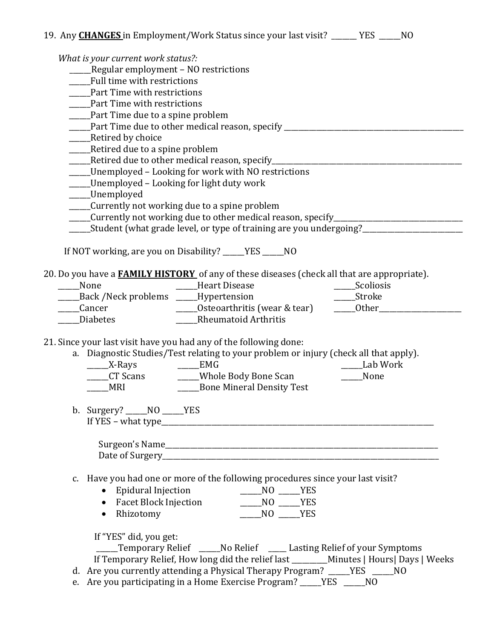| 19. Any <b>CHANGES</b> in Employment/Work Status since your last visit? ______ YES _____NO                                                                                  |          |
|-----------------------------------------------------------------------------------------------------------------------------------------------------------------------------|----------|
| What is your current work status?:                                                                                                                                          |          |
| __Regular employment - NO restrictions                                                                                                                                      |          |
| Full time with restrictions                                                                                                                                                 |          |
| Part Time with restrictions                                                                                                                                                 |          |
| Part Time with restrictions                                                                                                                                                 |          |
| _____Part Time due to a spine problem                                                                                                                                       |          |
| _____Part Time due to other medical reason, specify _____________________________                                                                                           |          |
| __Retired by choice                                                                                                                                                         |          |
| _____Retired due to a spine problem                                                                                                                                         |          |
| _____Retired due to other medical reason, specify________________________________                                                                                           |          |
| ____Unemployed - Looking for work with NO restrictions                                                                                                                      |          |
| ____Unemployed - Looking for light duty work                                                                                                                                |          |
| ____Unemployed                                                                                                                                                              |          |
| _____Currently not working due to a spine problem                                                                                                                           |          |
| Currently not working due to other medical reason, specify______________________<br>_____Student (what grade level, or type of training are you undergoing?________________ |          |
|                                                                                                                                                                             |          |
| If NOT working, are you on Disability? _____YES _____NO                                                                                                                     |          |
| 20. Do you have a <b>FAMILY HISTORY</b> of any of these diseases (check all that are appropriate).                                                                          |          |
| Heart Disease<br>Scoliosis<br>____None                                                                                                                                      |          |
| _____Back /Neck problems _____Hypertension                                                                                                                                  |          |
| _Cancer                                                                                                                                                                     |          |
| Rheumatoid Arthritis<br><b>Diabetes</b>                                                                                                                                     |          |
|                                                                                                                                                                             |          |
| 21. Since your last visit have you had any of the following done:                                                                                                           |          |
| a. Diagnostic Studies/Test relating to your problem or injury (check all that apply).                                                                                       |          |
| ______X-Rays _________EMG                                                                                                                                                   | Lab Work |
| ____CT Scans _________Whole Body Bone Scan ________                                                                                                                         | None     |
|                                                                                                                                                                             |          |
|                                                                                                                                                                             |          |
| b. Surgery? _____ $NO$ ______YES                                                                                                                                            |          |
|                                                                                                                                                                             |          |
|                                                                                                                                                                             |          |
| Date of Surgery<br><u>Date of Surgery</u>                                                                                                                                   |          |
|                                                                                                                                                                             |          |
| c. Have you had one or more of the following procedures since your last visit?                                                                                              |          |
| • Epidural Injection<br>NO YES                                                                                                                                              |          |
| $M = N0$ $YES$<br>• Facet Block Injection                                                                                                                                   |          |
| • Rhizotomy<br>$M = N0$ $YES$                                                                                                                                               |          |
|                                                                                                                                                                             |          |
| If "YES" did, you get:                                                                                                                                                      |          |
| ____Temporary Relief _____No Relief ____ Lasting Relief of your Symptoms                                                                                                    |          |
| If Temporary Relief, How long did the relief last ________Minutes   Hours  Days   Weeks                                                                                     |          |
| d. Are you currently attending a Physical Therapy Program? _____YES _____NO                                                                                                 |          |
| e. Are you participating in a Home Exercise Program? _____YES _____NO                                                                                                       |          |
|                                                                                                                                                                             |          |
|                                                                                                                                                                             |          |